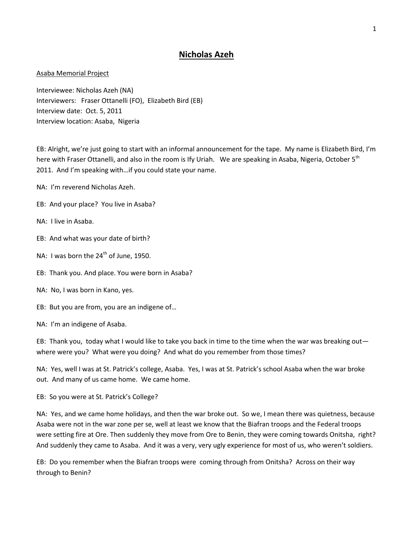## **Nicholas Azeh**

## Asaba Memorial Project

Interviewee: Nicholas Azeh (NA) Interviewers: Fraser Ottanelli (FO), Elizabeth Bird (EB) Interview date: Oct. 5, 2011 Interview location: Asaba, Nigeria

EB: Alright, we're just going to start with an informal announcement for the tape. My name is Elizabeth Bird, I'm here with Fraser Ottanelli, and also in the room is Ify Uriah. We are speaking in Asaba, Nigeria, October 5<sup>th</sup> 2011. And I'm speaking with…if you could state your name.

- NA: I'm reverend Nicholas Azeh.
- EB: And your place? You live in Asaba?
- NA: I live in Asaba.
- EB: And what was your date of birth?
- NA: I was born the  $24^{th}$  of June, 1950.
- EB: Thank you. And place. You were born in Asaba?
- NA: No, I was born in Kano, yes.
- EB: But you are from, you are an indigene of…
- NA: I'm an indigene of Asaba.

EB: Thank you, today what I would like to take you back in time to the time when the war was breaking out where were you? What were you doing? And what do you remember from those times?

NA: Yes, well I was at St. Patrick's college, Asaba. Yes, I was at St. Patrick's school Asaba when the war broke out. And many of us came home. We came home.

EB: So you were at St. Patrick's College?

NA: Yes, and we came home holidays, and then the war broke out. So we, I mean there was quietness, because Asaba were not in the war zone per se, well at least we know that the Biafran troops and the Federal troops were setting fire at Ore. Then suddenly they move from Ore to Benin, they were coming towards Onitsha, right? And suddenly they came to Asaba. And it was a very, very ugly experience for most of us, who weren't soldiers.

EB: Do you remember when the Biafran troops were coming through from Onitsha? Across on their way through to Benin?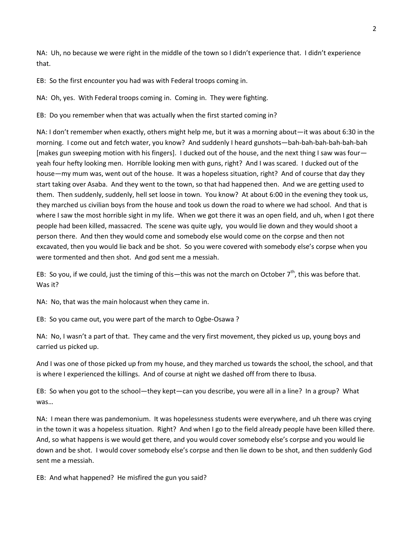NA: Uh, no because we were right in the middle of the town so I didn't experience that. I didn't experience that.

EB: So the first encounter you had was with Federal troops coming in.

NA: Oh, yes. With Federal troops coming in. Coming in. They were fighting.

EB: Do you remember when that was actually when the first started coming in?

NA: I don't remember when exactly, others might help me, but it was a morning about—it was about 6:30 in the morning. I come out and fetch water, you know? And suddenly I heard gunshots—bah-bah-bah-bah-bah-bah [makes gun sweeping motion with his fingers]. I ducked out of the house, and the next thing I saw was four yeah four hefty looking men. Horrible looking men with guns, right? And I was scared. I ducked out of the house—my mum was, went out of the house. It was a hopeless situation, right? And of course that day they start taking over Asaba. And they went to the town, so that had happened then. And we are getting used to them. Then suddenly, suddenly, hell set loose in town. You know? At about 6:00 in the evening they took us, they marched us civilian boys from the house and took us down the road to where we had school. And that is where I saw the most horrible sight in my life. When we got there it was an open field, and uh, when I got there people had been killed, massacred. The scene was quite ugly, you would lie down and they would shoot a person there. And then they would come and somebody else would come on the corpse and then not excavated, then you would lie back and be shot. So you were covered with somebody else's corpse when you were tormented and then shot. And god sent me a messiah.

EB: So you, if we could, just the timing of this—this was not the march on October 7<sup>th</sup>, this was before that. Was it?

NA: No, that was the main holocaust when they came in.

EB: So you came out, you were part of the march to Ogbe-Osawa ?

NA: No, I wasn't a part of that. They came and the very first movement, they picked us up, young boys and carried us picked up.

And I was one of those picked up from my house, and they marched us towards the school, the school, and that is where I experienced the killings. And of course at night we dashed off from there to Ibusa.

EB: So when you got to the school—they kept—can you describe, you were all in a line? In a group? What was…

NA: I mean there was pandemonium. It was hopelessness students were everywhere, and uh there was crying in the town it was a hopeless situation. Right? And when I go to the field already people have been killed there. And, so what happens is we would get there, and you would cover somebody else's corpse and you would lie down and be shot. I would cover somebody else's corpse and then lie down to be shot, and then suddenly God sent me a messiah.

EB: And what happened? He misfired the gun you said?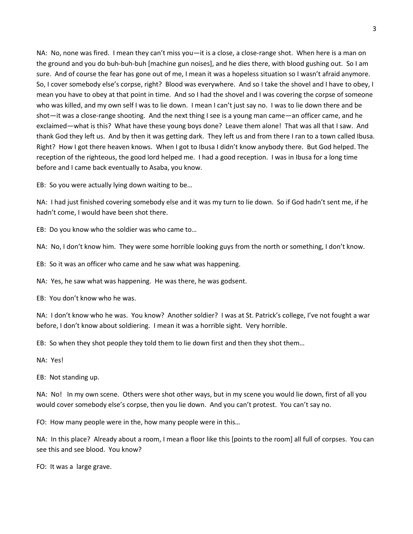NA: No, none was fired. I mean they can't miss you—it is a close, a close-range shot. When here is a man on the ground and you do buh-buh-buh [machine gun noises], and he dies there, with blood gushing out. So I am sure. And of course the fear has gone out of me, I mean it was a hopeless situation so I wasn't afraid anymore. So, I cover somebody else's corpse, right? Blood was everywhere. And so I take the shovel and I have to obey, I mean you have to obey at that point in time. And so I had the shovel and I was covering the corpse of someone who was killed, and my own self I was to lie down. I mean I can't just say no. I was to lie down there and be shot—it was a close-range shooting. And the next thing I see is a young man came—an officer came, and he exclaimed—what is this? What have these young boys done? Leave them alone! That was all that I saw. And thank God they left us. And by then it was getting dark. They left us and from there I ran to a town called Ibusa. Right? How I got there heaven knows. When I got to Ibusa I didn't know anybody there. But God helped. The reception of the righteous, the good lord helped me. I had a good reception. I was in Ibusa for a long time before and I came back eventually to Asaba, you know.

EB: So you were actually lying down waiting to be…

NA: I had just finished covering somebody else and it was my turn to lie down. So if God hadn't sent me, if he hadn't come, I would have been shot there.

EB: Do you know who the soldier was who came to…

NA: No, I don't know him. They were some horrible looking guys from the north or something, I don't know.

EB: So it was an officer who came and he saw what was happening.

NA: Yes, he saw what was happening. He was there, he was godsent.

EB: You don't know who he was.

NA: I don't know who he was. You know? Another soldier? I was at St. Patrick's college, I've not fought a war before, I don't know about soldiering. I mean it was a horrible sight. Very horrible.

EB: So when they shot people they told them to lie down first and then they shot them…

NA: Yes!

EB: Not standing up.

NA: No! In my own scene. Others were shot other ways, but in my scene you would lie down, first of all you would cover somebody else's corpse, then you lie down. And you can't protest. You can't say no.

FO: How many people were in the, how many people were in this…

NA: In this place? Already about a room, I mean a floor like this [points to the room] all full of corpses. You can see this and see blood. You know?

FO: It was a large grave.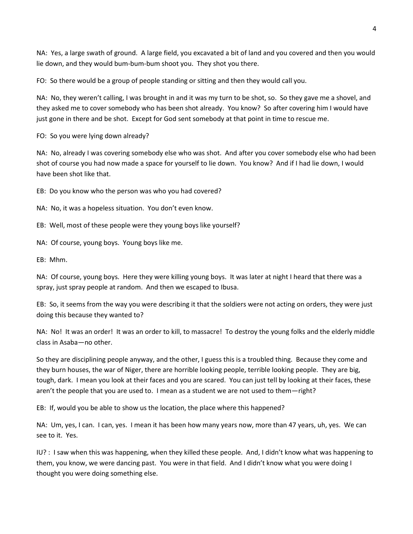NA: Yes, a large swath of ground. A large field, you excavated a bit of land and you covered and then you would lie down, and they would bum-bum-bum shoot you. They shot you there.

FO: So there would be a group of people standing or sitting and then they would call you.

NA: No, they weren't calling, I was brought in and it was my turn to be shot, so. So they gave me a shovel, and they asked me to cover somebody who has been shot already. You know? So after covering him I would have just gone in there and be shot. Except for God sent somebody at that point in time to rescue me.

FO: So you were lying down already?

NA: No, already I was covering somebody else who was shot. And after you cover somebody else who had been shot of course you had now made a space for yourself to lie down. You know? And if I had lie down, I would have been shot like that.

EB: Do you know who the person was who you had covered?

NA: No, it was a hopeless situation. You don't even know.

EB: Well, most of these people were they young boys like yourself?

NA: Of course, young boys. Young boys like me.

EB: Mhm.

NA: Of course, young boys. Here they were killing young boys. It was later at night I heard that there was a spray, just spray people at random. And then we escaped to Ibusa.

EB: So, it seems from the way you were describing it that the soldiers were not acting on orders, they were just doing this because they wanted to?

NA: No! It was an order! It was an order to kill, to massacre! To destroy the young folks and the elderly middle class in Asaba—no other.

So they are disciplining people anyway, and the other, I guess this is a troubled thing. Because they come and they burn houses, the war of Niger, there are horrible looking people, terrible looking people. They are big, tough, dark. I mean you look at their faces and you are scared. You can just tell by looking at their faces, these aren't the people that you are used to. I mean as a student we are not used to them—right?

EB: If, would you be able to show us the location, the place where this happened?

NA: Um, yes, I can. I can, yes. I mean it has been how many years now, more than 47 years, uh, yes. We can see to it. Yes.

IU? : I saw when this was happening, when they killed these people. And, I didn't know what was happening to them, you know, we were dancing past. You were in that field. And I didn't know what you were doing I thought you were doing something else.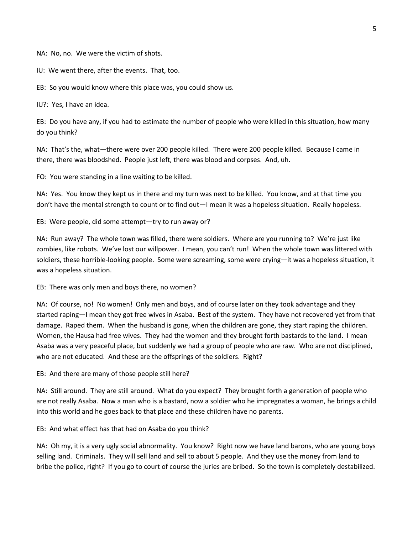NA: No, no. We were the victim of shots.

IU: We went there, after the events. That, too.

EB: So you would know where this place was, you could show us.

IU?: Yes, I have an idea.

EB: Do you have any, if you had to estimate the number of people who were killed in this situation, how many do you think?

NA: That's the, what—there were over 200 people killed. There were 200 people killed. Because I came in there, there was bloodshed. People just left, there was blood and corpses. And, uh.

FO: You were standing in a line waiting to be killed.

NA: Yes. You know they kept us in there and my turn was next to be killed. You know, and at that time you don't have the mental strength to count or to find out—I mean it was a hopeless situation. Really hopeless.

EB: Were people, did some attempt—try to run away or?

NA: Run away? The whole town was filled, there were soldiers. Where are you running to? We're just like zombies, like robots. We've lost our willpower. I mean, you can't run! When the whole town was littered with soldiers, these horrible-looking people. Some were screaming, some were crying—it was a hopeless situation, it was a hopeless situation.

EB: There was only men and boys there, no women?

NA: Of course, no! No women! Only men and boys, and of course later on they took advantage and they started raping—I mean they got free wives in Asaba. Best of the system. They have not recovered yet from that damage. Raped them. When the husband is gone, when the children are gone, they start raping the children. Women, the Hausa had free wives. They had the women and they brought forth bastards to the land. I mean Asaba was a very peaceful place, but suddenly we had a group of people who are raw. Who are not disciplined, who are not educated. And these are the offsprings of the soldiers. Right?

EB: And there are many of those people still here?

NA: Still around. They are still around. What do you expect? They brought forth a generation of people who are not really Asaba. Now a man who is a bastard, now a soldier who he impregnates a woman, he brings a child into this world and he goes back to that place and these children have no parents.

EB: And what effect has that had on Asaba do you think?

NA: Oh my, it is a very ugly social abnormality. You know? Right now we have land barons, who are young boys selling land. Criminals. They will sell land and sell to about 5 people. And they use the money from land to bribe the police, right? If you go to court of course the juries are bribed. So the town is completely destabilized.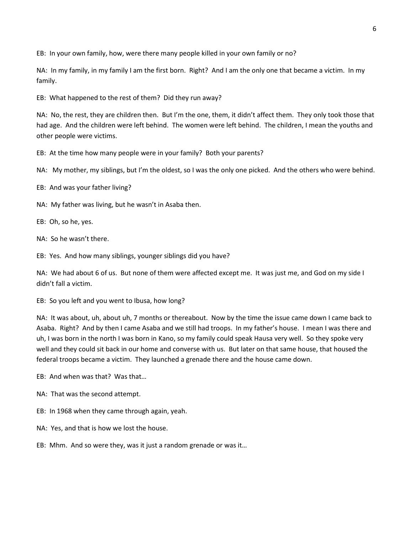EB: In your own family, how, were there many people killed in your own family or no?

NA: In my family, in my family I am the first born. Right? And I am the only one that became a victim. In my family.

EB: What happened to the rest of them? Did they run away?

NA: No, the rest, they are children then. But I'm the one, them, it didn't affect them. They only took those that had age. And the children were left behind. The women were left behind. The children, I mean the youths and other people were victims.

EB: At the time how many people were in your family? Both your parents?

NA: My mother, my siblings, but I'm the oldest, so I was the only one picked. And the others who were behind.

EB: And was your father living?

NA: My father was living, but he wasn't in Asaba then.

EB: Oh, so he, yes.

NA: So he wasn't there.

EB: Yes. And how many siblings, younger siblings did you have?

NA: We had about 6 of us. But none of them were affected except me. It was just me, and God on my side I didn't fall a victim.

EB: So you left and you went to Ibusa, how long?

NA: It was about, uh, about uh, 7 months or thereabout. Now by the time the issue came down I came back to Asaba. Right? And by then I came Asaba and we still had troops. In my father's house. I mean I was there and uh, I was born in the north I was born in Kano, so my family could speak Hausa very well. So they spoke very well and they could sit back in our home and converse with us. But later on that same house, that housed the federal troops became a victim. They launched a grenade there and the house came down.

EB: And when was that? Was that…

NA: That was the second attempt.

EB: In 1968 when they came through again, yeah.

NA: Yes, and that is how we lost the house.

EB: Mhm. And so were they, was it just a random grenade or was it…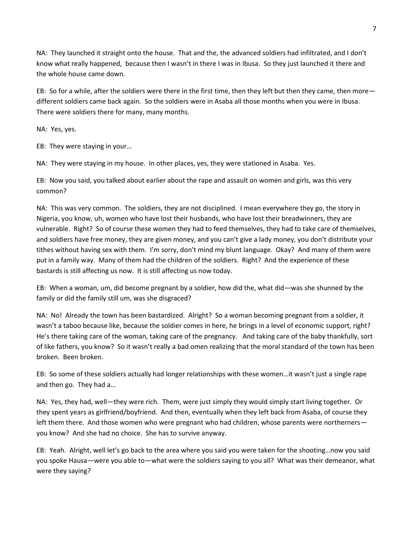NA: They launched it straight onto the house. That and the, the advanced soldiers had infiltrated, and I don't know what really happened, because then I wasn't in there I was in Ibusa. So they just launched it there and the whole house came down.

EB: So for a while, after the soldiers were there in the first time, then they left but then they came, then more different soldiers came back again. So the soldiers were in Asaba all those months when you were in Ibusa. There were soldiers there for many, many months.

NA: Yes, yes.

EB: They were staying in your…

NA: They were staying in my house. In other places, yes, they were stationed in Asaba. Yes.

EB: Now you said, you talked about earlier about the rape and assault on women and girls, was this very common?

NA: This was very common. The soldiers, they are not disciplined. I mean everywhere they go, the story in Nigeria, you know, uh, women who have lost their husbands, who have lost their breadwinners, they are vulnerable. Right? So of course these women they had to feed themselves, they had to take care of themselves, and soldiers have free money, they are given money, and you can't give a lady money, you don't distribute your tithes without having sex with them. I'm sorry, don't mind my blunt language. Okay? And many of them were put in a family way. Many of them had the children of the soldiers. Right? And the experience of these bastards is still affecting us now. It is still affecting us now today.

EB: When a woman, um, did become pregnant by a soldier, how did the, what did—was she shunned by the family or did the family still um, was she disgraced?

NA: No! Already the town has been bastardized. Alright? So a woman becoming pregnant from a soldier, it wasn't a taboo because like, because the soldier comes in here, he brings in a level of economic support, right? He's there taking care of the woman, taking care of the pregnancy. And taking care of the baby thankfully, sort of like fathers, you know? So it wasn't really a bad omen realizing that the moral standard of the town has been broken. Been broken.

EB: So some of these soldiers actually had longer relationships with these women…it wasn't just a single rape and then go. They had a…

NA: Yes, they had, well—they were rich. Them, were just simply they would simply start living together. Or they spent years as girlfriend/boyfriend. And then, eventually when they left back from Asaba, of course they left them there. And those women who were pregnant who had children, whose parents were northerners you know? And she had no choice. She has to survive anyway.

EB: Yeah. Alright, well let's go back to the area where you said you were taken for the shooting…now you said you spoke Hausa—were you able to—what were the soldiers saying to you all? What was their demeanor, what were they saying?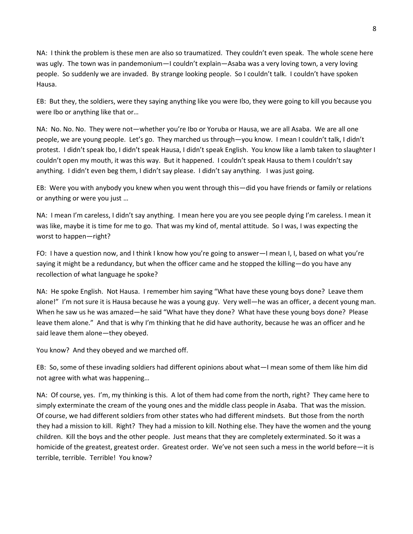NA: I think the problem is these men are also so traumatized. They couldn't even speak. The whole scene here was ugly. The town was in pandemonium—I couldn't explain—Asaba was a very loving town, a very loving people. So suddenly we are invaded. By strange looking people. So I couldn't talk. I couldn't have spoken Hausa.

EB: But they, the soldiers, were they saying anything like you were Ibo, they were going to kill you because you were Ibo or anything like that or…

NA: No. No. No. They were not—whether you're Ibo or Yoruba or Hausa, we are all Asaba. We are all one people, we are young people. Let's go. They marched us through—you know. I mean I couldn't talk, I didn't protest. I didn't speak Ibo, I didn't speak Hausa, I didn't speak English. You know like a lamb taken to slaughter I couldn't open my mouth, it was this way. But it happened. I couldn't speak Hausa to them I couldn't say anything. I didn't even beg them, I didn't say please. I didn't say anything. I was just going.

EB: Were you with anybody you knew when you went through this—did you have friends or family or relations or anything or were you just …

NA: I mean I'm careless, I didn't say anything. I mean here you are you see people dying I'm careless. I mean it was like, maybe it is time for me to go. That was my kind of, mental attitude. So I was, I was expecting the worst to happen—right?

FO: I have a question now, and I think I know how you're going to answer—I mean I, I, based on what you're saying it might be a redundancy, but when the officer came and he stopped the killing—do you have any recollection of what language he spoke?

NA: He spoke English. Not Hausa. I remember him saying "What have these young boys done? Leave them alone!" I'm not sure it is Hausa because he was a young guy. Very well—he was an officer, a decent young man. When he saw us he was amazed—he said "What have they done? What have these young boys done? Please leave them alone." And that is why I'm thinking that he did have authority, because he was an officer and he said leave them alone—they obeyed.

You know? And they obeyed and we marched off.

EB: So, some of these invading soldiers had different opinions about what—I mean some of them like him did not agree with what was happening…

NA: Of course, yes. I'm, my thinking is this. A lot of them had come from the north, right? They came here to simply exterminate the cream of the young ones and the middle class people in Asaba. That was the mission. Of course, we had different soldiers from other states who had different mindsets. But those from the north they had a mission to kill. Right? They had a mission to kill. Nothing else. They have the women and the young children. Kill the boys and the other people. Just means that they are completely exterminated. So it was a homicide of the greatest, greatest order. Greatest order. We've not seen such a mess in the world before—it is terrible, terrible. Terrible! You know?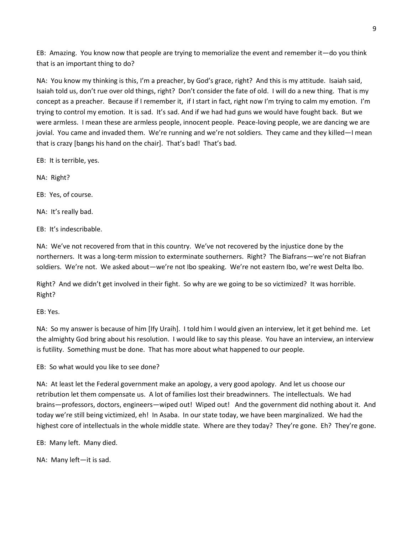EB: Amazing. You know now that people are trying to memorialize the event and remember it—do you think that is an important thing to do?

NA: You know my thinking is this, I'm a preacher, by God's grace, right? And this is my attitude. Isaiah said, Isaiah told us, don't rue over old things, right? Don't consider the fate of old. I will do a new thing. That is my concept as a preacher. Because if I remember it, if I start in fact, right now I'm trying to calm my emotion. I'm trying to control my emotion. It is sad. It's sad. And if we had had guns we would have fought back. But we were armless. I mean these are armless people, innocent people. Peace-loving people, we are dancing we are jovial. You came and invaded them. We're running and we're not soldiers. They came and they killed—I mean that is crazy [bangs his hand on the chair]. That's bad! That's bad.

EB: It is terrible, yes.

NA: Right?

EB: Yes, of course.

NA: It's really bad.

EB: It's indescribable.

NA: We've not recovered from that in this country. We've not recovered by the injustice done by the northerners. It was a long-term mission to exterminate southerners. Right? The Biafrans—we're not Biafran soldiers. We're not. We asked about—we're not Ibo speaking. We're not eastern Ibo, we're west Delta Ibo.

Right? And we didn't get involved in their fight. So why are we going to be so victimized? It was horrible. Right?

EB: Yes.

NA: So my answer is because of him [Ify Uraih]. I told him I would given an interview, let it get behind me. Let the almighty God bring about his resolution. I would like to say this please. You have an interview, an interview is futility. Something must be done. That has more about what happened to our people.

EB: So what would you like to see done?

NA: At least let the Federal government make an apology, a very good apology. And let us choose our retribution let them compensate us. A lot of families lost their breadwinners. The intellectuals. We had brains—professors, doctors, engineers—wiped out! Wiped out! And the government did nothing about it. And today we're still being victimized, eh! In Asaba. In our state today, we have been marginalized. We had the highest core of intellectuals in the whole middle state. Where are they today? They're gone. Eh? They're gone.

EB: Many left. Many died.

NA: Many left—it is sad.